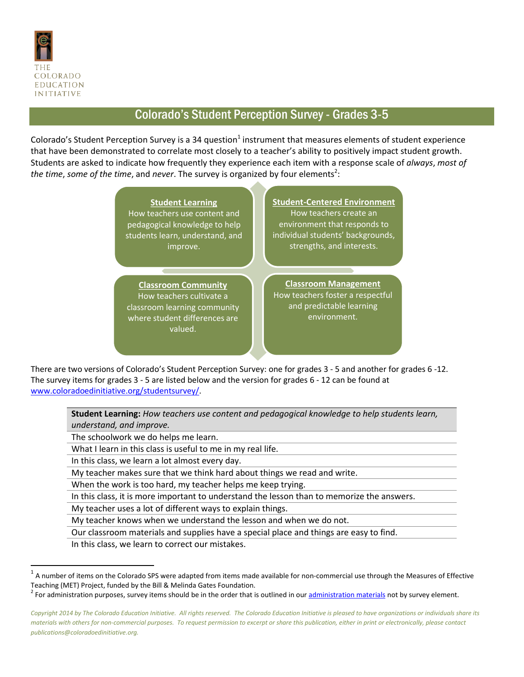

 $\overline{\phantom{a}}$ 

## Colorado's Student Perception Survey - Grades 3-5

Colorado's Student Perception Survey is a 34 question<sup>1</sup> instrument that measures elements of student experience that have been demonstrated to correlate most closely to a teacher's ability to positively impact student growth. Students are asked to indicate how frequently they experience each item with a response scale of *always*, *most of*  the time, some of the time, and never. The survey is organized by four elements<sup>2</sup>:



There are two versions of Colorado's Student Perception Survey: one for grades 3 - 5 and another for grades 6 -12. The survey items for grades 3 - 5 are listed below and the version for grades 6 - 12 can be found at [www.coloradoedinitiative.org/studentsurvey/.](http://www.coloradoedinitiative.org/studentsurvey/)

**Student Learning:** *How teachers use content and pedagogical knowledge to help students learn, understand, and improve.*

The schoolwork we do helps me learn.

What I learn in this class is useful to me in my real life.

In this class, we learn a lot almost every day.

My teacher makes sure that we think hard about things we read and write.

When the work is too hard, my teacher helps me keep trying.

In this class, it is more important to understand the lesson than to memorize the answers.

My teacher uses a lot of different ways to explain things.

My teacher knows when we understand the lesson and when we do not.

Our classroom materials and supplies have a special place and things are easy to find.

In this class, we learn to correct our mistakes.

 $^1$  A number of items on the Colorado SPS were adapted from items made available for non-commercial use through the Measures of Effective Teaching (MET) Project, funded by the Bill & Melinda Gates Foundation.

<sup>&</sup>lt;sup>2</sup> For administration purposes, survey items should be in the order that is outlined in our **administration materials** not by survey element.

*Copyright 2014 by The Colorado Education Initiative. All rights reserved. The Colorado Education Initiative is pleased to have organizations or individuals share its materials with others for non-commercial purposes. To request permission to excerpt or share this publication, either in print or electronically, please contact publications@coloradoedinitiative.org.*